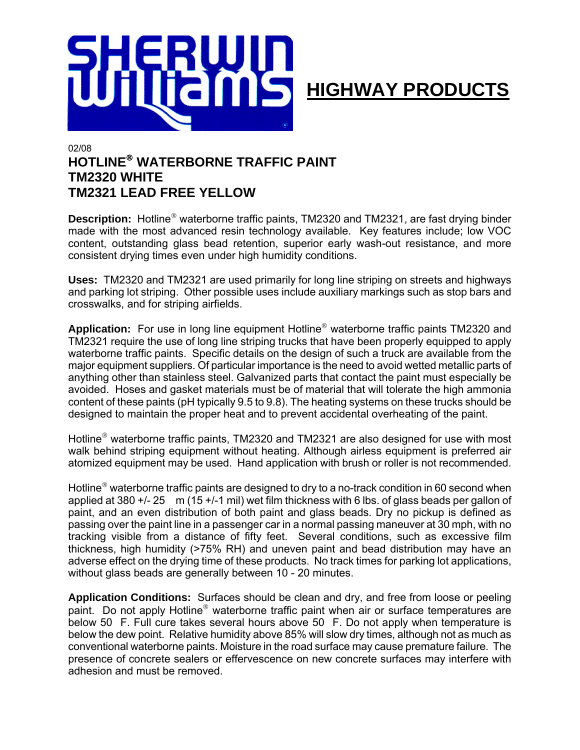

## 02/08 **HOTLINE WATERBORNE TRAFFIC PAINT TM2320 WHITE TM2321 LEAD FREE YELLOW**

**Description:** Hotline<sup>®</sup> waterborne traffic paints, TM2320 and TM2321, are fast drying binder made with the most advanced resin technology available. Key features include; low VOC content, outstanding glass bead retention, superior early wash-out resistance, and more consistent drying times even under high humidity conditions.

**Uses:** TM2320 and TM2321 are used primarily for long line striping on streets and highways and parking lot striping. Other possible uses include auxiliary markings such as stop bars and crosswalks, and for striping airfields.

**Application:** For use in long line equipment Hotline<sup>®</sup> waterborne traffic paints TM2320 and TM2321 require the use of long line striping trucks that have been properly equipped to apply waterborne traffic paints. Specific details on the design of such a truck are available from the major equipment suppliers. Of particular importance is the need to avoid wetted metallic parts of anything other than stainless steel. Galvanized parts that contact the paint must especially be avoided. Hoses and gasket materials must be of material that will tolerate the high ammonia content of these paints (pH typically 9.5 to 9.8). The heating systems on these trucks should be designed to maintain the proper heat and to prevent accidental overheating of the paint.

Hotline<sup>®</sup> waterborne traffic paints, TM2320 and TM2321 are also designed for use with most walk behind striping equipment without heating. Although airless equipment is preferred air atomized equipment may be used. Hand application with brush or roller is not recommended.

Hotline<sup>®</sup> waterborne traffic paints are designed to dry to a no-track condition in 60 second when applied at 380 +/- 25 m (15 +/-1 mil) wet film thickness with 6 lbs. of glass beads per gallon of paint, and an even distribution of both paint and glass beads. Dry no pickup is defined as passing over the paint line in a passenger car in a normal passing maneuver at 30 mph, with no tracking visible from a distance of fifty feet. Several conditions, such as excessive film thickness, high humidity (>75% RH) and uneven paint and bead distribution may have an adverse effect on the drying time of these products. No track times for parking lot applications, without glass beads are generally between 10 - 20 minutes.

**Application Conditions:** Surfaces should be clean and dry, and free from loose or peeling paint. Do not apply Hotline<sup>®</sup> waterborne traffic paint when air or surface temperatures are below 50 F. Full cure takes several hours above 50 F. Do not apply when temperature is below the dew point. Relative humidity above 85% will slow dry times, although not as much as conventional waterborne paints. Moisture in the road surface may cause premature failure. The presence of concrete sealers or effervescence on new concrete surfaces may interfere with adhesion and must be removed.